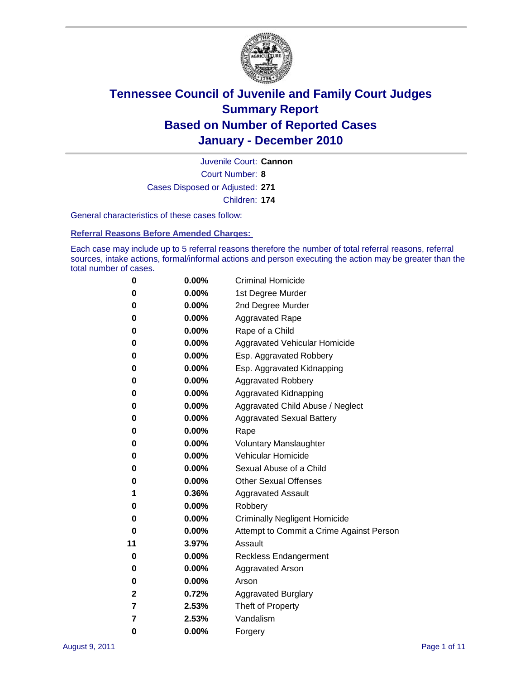

Court Number: **8** Juvenile Court: **Cannon** Cases Disposed or Adjusted: **271** Children: **174**

General characteristics of these cases follow:

**Referral Reasons Before Amended Charges:** 

Each case may include up to 5 referral reasons therefore the number of total referral reasons, referral sources, intake actions, formal/informal actions and person executing the action may be greater than the total number of cases.

| 0  | 0.00%    | <b>Criminal Homicide</b>                 |
|----|----------|------------------------------------------|
| 0  | 0.00%    | 1st Degree Murder                        |
| 0  | 0.00%    | 2nd Degree Murder                        |
| 0  | 0.00%    | <b>Aggravated Rape</b>                   |
| 0  | 0.00%    | Rape of a Child                          |
| 0  | 0.00%    | Aggravated Vehicular Homicide            |
| 0  | 0.00%    | Esp. Aggravated Robbery                  |
| 0  | 0.00%    | Esp. Aggravated Kidnapping               |
| 0  | 0.00%    | <b>Aggravated Robbery</b>                |
| 0  | 0.00%    | Aggravated Kidnapping                    |
| 0  | 0.00%    | Aggravated Child Abuse / Neglect         |
| 0  | 0.00%    | <b>Aggravated Sexual Battery</b>         |
| 0  | 0.00%    | Rape                                     |
| 0  | $0.00\%$ | <b>Voluntary Manslaughter</b>            |
| 0  | 0.00%    | Vehicular Homicide                       |
| 0  | 0.00%    | Sexual Abuse of a Child                  |
| 0  | 0.00%    | <b>Other Sexual Offenses</b>             |
| 1  | 0.36%    | <b>Aggravated Assault</b>                |
| 0  | $0.00\%$ | Robbery                                  |
| 0  | 0.00%    | <b>Criminally Negligent Homicide</b>     |
| 0  | 0.00%    | Attempt to Commit a Crime Against Person |
| 11 | 3.97%    | Assault                                  |
| 0  | 0.00%    | <b>Reckless Endangerment</b>             |
| 0  | 0.00%    | <b>Aggravated Arson</b>                  |
| 0  | 0.00%    | Arson                                    |
| 2  | 0.72%    | <b>Aggravated Burglary</b>               |
| 7  | 2.53%    | Theft of Property                        |
| 7  | 2.53%    | Vandalism                                |
| 0  | 0.00%    | Forgery                                  |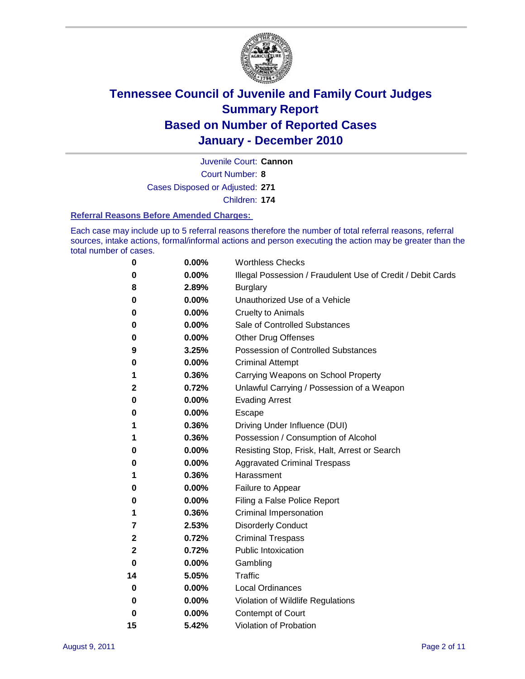

Juvenile Court: **Cannon**

Court Number: **8**

Cases Disposed or Adjusted: **271**

Children: **174**

#### **Referral Reasons Before Amended Charges:**

Each case may include up to 5 referral reasons therefore the number of total referral reasons, referral sources, intake actions, formal/informal actions and person executing the action may be greater than the total number of cases.

| 0            | 0.00% | <b>Worthless Checks</b>                                     |
|--------------|-------|-------------------------------------------------------------|
| 0            | 0.00% | Illegal Possession / Fraudulent Use of Credit / Debit Cards |
| 8            | 2.89% | <b>Burglary</b>                                             |
| 0            | 0.00% | Unauthorized Use of a Vehicle                               |
| 0            | 0.00% | <b>Cruelty to Animals</b>                                   |
| 0            | 0.00% | Sale of Controlled Substances                               |
| 0            | 0.00% | <b>Other Drug Offenses</b>                                  |
| 9            | 3.25% | <b>Possession of Controlled Substances</b>                  |
| 0            | 0.00% | <b>Criminal Attempt</b>                                     |
| 1            | 0.36% | Carrying Weapons on School Property                         |
| 2            | 0.72% | Unlawful Carrying / Possession of a Weapon                  |
| 0            | 0.00% | <b>Evading Arrest</b>                                       |
| 0            | 0.00% | Escape                                                      |
| 1            | 0.36% | Driving Under Influence (DUI)                               |
| 1            | 0.36% | Possession / Consumption of Alcohol                         |
| 0            | 0.00% | Resisting Stop, Frisk, Halt, Arrest or Search               |
| 0            | 0.00% | <b>Aggravated Criminal Trespass</b>                         |
| 1            | 0.36% | Harassment                                                  |
| 0            | 0.00% | Failure to Appear                                           |
| 0            | 0.00% | Filing a False Police Report                                |
| 1            | 0.36% | Criminal Impersonation                                      |
| 7            | 2.53% | <b>Disorderly Conduct</b>                                   |
| 2            | 0.72% | <b>Criminal Trespass</b>                                    |
| $\mathbf{2}$ | 0.72% | <b>Public Intoxication</b>                                  |
| 0            | 0.00% | Gambling                                                    |
| 14           | 5.05% | <b>Traffic</b>                                              |
| 0            | 0.00% | <b>Local Ordinances</b>                                     |
| 0            | 0.00% | Violation of Wildlife Regulations                           |
| 0            | 0.00% | Contempt of Court                                           |
| 15           | 5.42% | Violation of Probation                                      |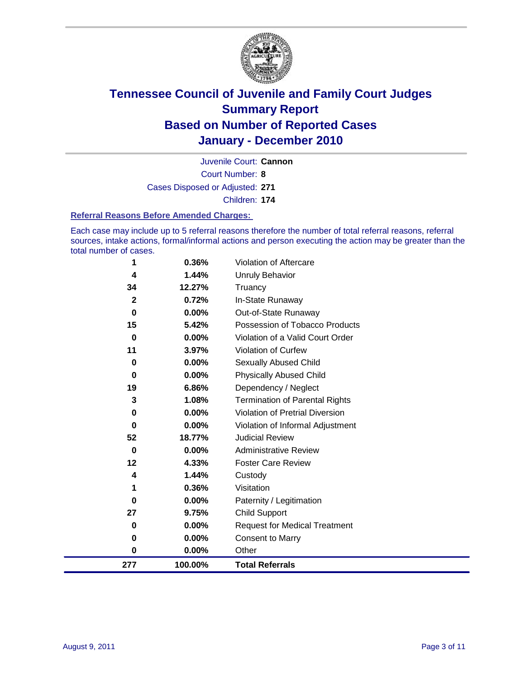

Court Number: **8** Juvenile Court: **Cannon** Cases Disposed or Adjusted: **271**

Children: **174**

#### **Referral Reasons Before Amended Charges:**

Each case may include up to 5 referral reasons therefore the number of total referral reasons, referral sources, intake actions, formal/informal actions and person executing the action may be greater than the total number of cases.

| 1            | 0.36%    | Violation of Aftercare                 |
|--------------|----------|----------------------------------------|
| 4            | 1.44%    | <b>Unruly Behavior</b>                 |
| 34           | 12.27%   | Truancy                                |
| $\mathbf{2}$ | 0.72%    | In-State Runaway                       |
| $\bf{0}$     | $0.00\%$ | Out-of-State Runaway                   |
| 15           | 5.42%    | Possession of Tobacco Products         |
| 0            | 0.00%    | Violation of a Valid Court Order       |
| 11           | 3.97%    | Violation of Curfew                    |
| 0            | $0.00\%$ | Sexually Abused Child                  |
| 0            | 0.00%    | <b>Physically Abused Child</b>         |
| 19           | 6.86%    | Dependency / Neglect                   |
| 3            | 1.08%    | <b>Termination of Parental Rights</b>  |
| 0            | 0.00%    | <b>Violation of Pretrial Diversion</b> |
| $\bf{0}$     | 0.00%    | Violation of Informal Adjustment       |
| 52           | 18.77%   | <b>Judicial Review</b>                 |
| 0            | $0.00\%$ | <b>Administrative Review</b>           |
| 12           | 4.33%    | <b>Foster Care Review</b>              |
| 4            | 1.44%    | Custody                                |
| 1            | 0.36%    | Visitation                             |
| 0            | 0.00%    | Paternity / Legitimation               |
| 27           | 9.75%    | <b>Child Support</b>                   |
| 0            | $0.00\%$ | <b>Request for Medical Treatment</b>   |
| 0            | 0.00%    | <b>Consent to Marry</b>                |
| 0            | 0.00%    | Other                                  |
| 277          | 100.00%  | <b>Total Referrals</b>                 |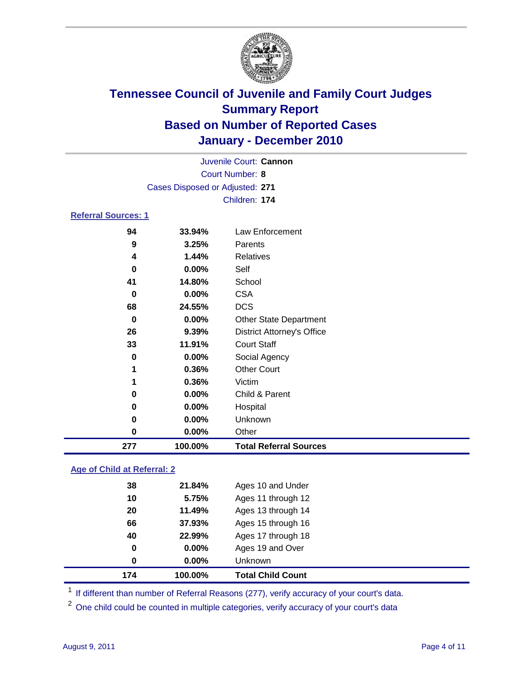

|                                 |          | Juvenile Court: Cannon            |  |  |  |
|---------------------------------|----------|-----------------------------------|--|--|--|
| <b>Court Number: 8</b>          |          |                                   |  |  |  |
| Cases Disposed or Adjusted: 271 |          |                                   |  |  |  |
| Children: 174                   |          |                                   |  |  |  |
| <b>Referral Sources: 1</b>      |          |                                   |  |  |  |
| 94                              | 33.94%   | Law Enforcement                   |  |  |  |
| 9                               | 3.25%    | Parents                           |  |  |  |
| 4                               | 1.44%    | <b>Relatives</b>                  |  |  |  |
| 0                               | $0.00\%$ | Self                              |  |  |  |
| 41                              | 14.80%   | School                            |  |  |  |
| 0                               | 0.00%    | <b>CSA</b>                        |  |  |  |
| 68                              | 24.55%   | <b>DCS</b>                        |  |  |  |
| 0                               | $0.00\%$ | <b>Other State Department</b>     |  |  |  |
| 26                              | 9.39%    | <b>District Attorney's Office</b> |  |  |  |
| 33                              | 11.91%   | <b>Court Staff</b>                |  |  |  |
| 0                               | 0.00%    | Social Agency                     |  |  |  |
| 1                               | 0.36%    | <b>Other Court</b>                |  |  |  |
| 1                               | 0.36%    | Victim                            |  |  |  |
| 0                               | $0.00\%$ | Child & Parent                    |  |  |  |
| 0                               | $0.00\%$ | Hospital                          |  |  |  |
| 0                               | 0.00%    | Unknown                           |  |  |  |
| 0                               | 0.00%    | Other                             |  |  |  |

### **Age of Child at Referral: 2**

| 174 | 100.00%  | <b>Total Child Count</b> |
|-----|----------|--------------------------|
| 0   | 0.00%    | <b>Unknown</b>           |
| 0   | $0.00\%$ | Ages 19 and Over         |
| 40  | 22.99%   | Ages 17 through 18       |
| 66  | 37.93%   | Ages 15 through 16       |
| 20  | 11.49%   | Ages 13 through 14       |
| 10  | 5.75%    | Ages 11 through 12       |
| 38  | 21.84%   | Ages 10 and Under        |
|     |          |                          |

<sup>1</sup> If different than number of Referral Reasons (277), verify accuracy of your court's data.

**100.00% Total Referral Sources**

<sup>2</sup> One child could be counted in multiple categories, verify accuracy of your court's data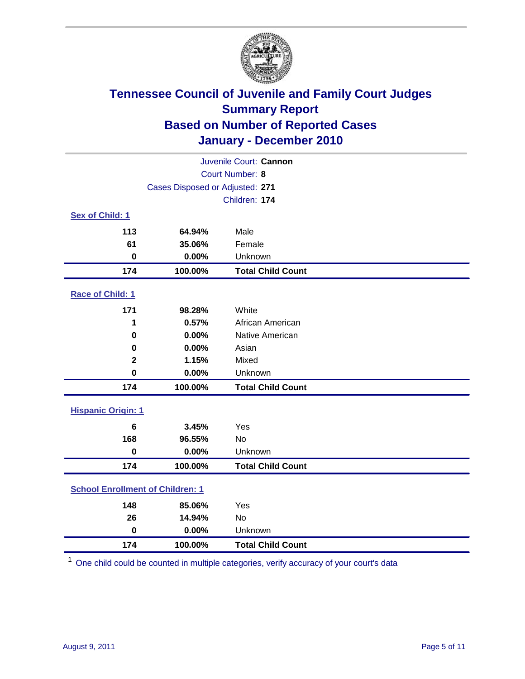

| Juvenile Court: Cannon                  |                                 |                          |  |  |
|-----------------------------------------|---------------------------------|--------------------------|--|--|
| Court Number: 8                         |                                 |                          |  |  |
|                                         | Cases Disposed or Adjusted: 271 |                          |  |  |
|                                         |                                 | Children: 174            |  |  |
| Sex of Child: 1                         |                                 |                          |  |  |
| 113                                     | 64.94%                          | Male                     |  |  |
| 61                                      | 35.06%                          | Female                   |  |  |
| $\mathbf 0$                             | 0.00%                           | Unknown                  |  |  |
| 174                                     | 100.00%                         | <b>Total Child Count</b> |  |  |
| Race of Child: 1                        |                                 |                          |  |  |
| 171                                     | 98.28%                          | White                    |  |  |
| 1                                       | 0.57%                           | African American         |  |  |
| $\mathbf 0$                             | 0.00%                           | Native American          |  |  |
| 0                                       | 0.00%                           | Asian                    |  |  |
| $\mathbf 2$                             | 1.15%                           | Mixed                    |  |  |
| $\mathbf 0$                             | 0.00%                           | Unknown                  |  |  |
| 174                                     | 100.00%                         | <b>Total Child Count</b> |  |  |
| <b>Hispanic Origin: 1</b>               |                                 |                          |  |  |
| $6\phantom{1}$                          | 3.45%                           | Yes                      |  |  |
| 168                                     | 96.55%                          | <b>No</b>                |  |  |
| $\mathbf 0$                             | 0.00%                           | Unknown                  |  |  |
| 174                                     | 100.00%                         | <b>Total Child Count</b> |  |  |
| <b>School Enrollment of Children: 1</b> |                                 |                          |  |  |
| 148                                     | 85.06%                          | Yes                      |  |  |
| 26                                      | 14.94%                          | <b>No</b>                |  |  |
| $\mathbf 0$                             | 0.00%                           | Unknown                  |  |  |
| 174                                     | 100.00%                         | <b>Total Child Count</b> |  |  |

One child could be counted in multiple categories, verify accuracy of your court's data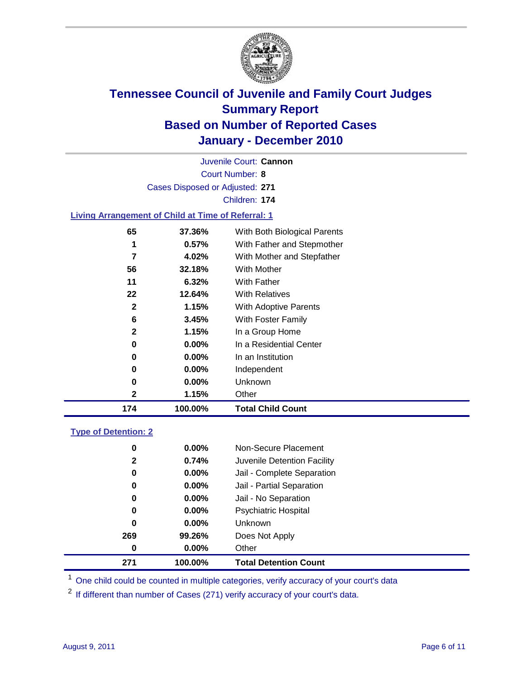

Court Number: **8** Juvenile Court: **Cannon** Cases Disposed or Adjusted: **271** Children: **174 Living Arrangement of Child at Time of Referral: 1 37.36%** With Both Biological Parents **0.57%** With Father and Stepmother

| 174 | 100.00%  | <b>Total Child Count</b>   |
|-----|----------|----------------------------|
| 2   | 1.15%    | Other                      |
| 0   | $0.00\%$ | Unknown                    |
| 0   | $0.00\%$ | Independent                |
| 0   | $0.00\%$ | In an Institution          |
| 0   | $0.00\%$ | In a Residential Center    |
| 2   | 1.15%    | In a Group Home            |
| 6   | 3.45%    | <b>With Foster Family</b>  |
| 2   | 1.15%    | With Adoptive Parents      |
| 22  | 12.64%   | <b>With Relatives</b>      |
| 11  | 6.32%    | With Father                |
| 56  | 32.18%   | With Mother                |
| 7   | 4.02%    | With Mother and Stepfather |
| 1   | $0.57\%$ | With Father and Stepmother |

### **Type of Detention: 2**

| 271          | 100.00%  | <b>Total Detention Count</b> |
|--------------|----------|------------------------------|
| 0            | $0.00\%$ | Other                        |
| 269          | 99.26%   | Does Not Apply               |
| 0            | $0.00\%$ | <b>Unknown</b>               |
| 0            | $0.00\%$ | <b>Psychiatric Hospital</b>  |
| 0            | 0.00%    | Jail - No Separation         |
| 0            | $0.00\%$ | Jail - Partial Separation    |
| 0            | 0.00%    | Jail - Complete Separation   |
| $\mathbf{2}$ | 0.74%    | Juvenile Detention Facility  |
| 0            | $0.00\%$ | Non-Secure Placement         |
|              |          |                              |

<sup>1</sup> One child could be counted in multiple categories, verify accuracy of your court's data

<sup>2</sup> If different than number of Cases (271) verify accuracy of your court's data.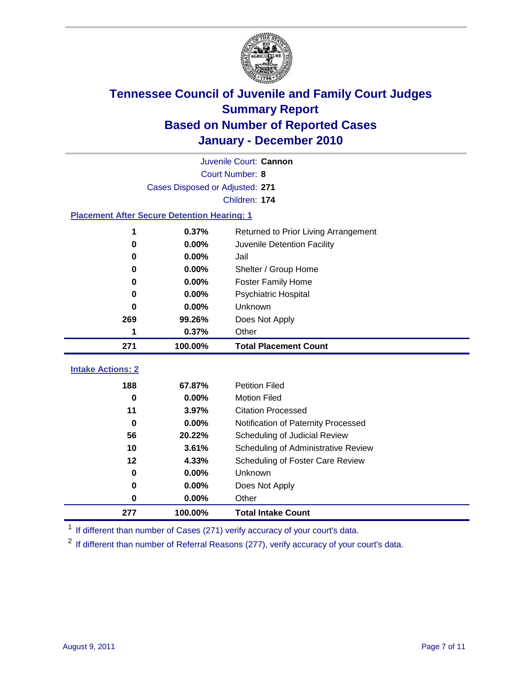

| Juvenile Court: Cannon                             |                                                    |                                     |  |  |  |
|----------------------------------------------------|----------------------------------------------------|-------------------------------------|--|--|--|
|                                                    | Court Number: 8                                    |                                     |  |  |  |
|                                                    | Cases Disposed or Adjusted: 271                    |                                     |  |  |  |
|                                                    |                                                    | Children: 174                       |  |  |  |
|                                                    | <b>Placement After Secure Detention Hearing: 1</b> |                                     |  |  |  |
| 0.37%<br>Returned to Prior Living Arrangement<br>1 |                                                    |                                     |  |  |  |
| 0                                                  | 0.00%                                              | Juvenile Detention Facility         |  |  |  |
| 0                                                  | 0.00%                                              | Jail                                |  |  |  |
| 0                                                  | 0.00%                                              | Shelter / Group Home                |  |  |  |
| 0                                                  | 0.00%                                              | <b>Foster Family Home</b>           |  |  |  |
| 0                                                  | 0.00%                                              | Psychiatric Hospital                |  |  |  |
| 0                                                  | 0.00%                                              | Unknown                             |  |  |  |
| 269                                                | 99.26%                                             | Does Not Apply                      |  |  |  |
| 1                                                  | 0.37%                                              | Other                               |  |  |  |
| 271                                                | 100.00%                                            | <b>Total Placement Count</b>        |  |  |  |
| <b>Intake Actions: 2</b>                           |                                                    |                                     |  |  |  |
|                                                    |                                                    |                                     |  |  |  |
| 188                                                | 67.87%                                             | <b>Petition Filed</b>               |  |  |  |
| 0                                                  | 0.00%                                              | <b>Motion Filed</b>                 |  |  |  |
| 11                                                 | 3.97%                                              | <b>Citation Processed</b>           |  |  |  |
| $\bf{0}$                                           | 0.00%                                              | Notification of Paternity Processed |  |  |  |
| 56                                                 | 20.22%                                             | Scheduling of Judicial Review       |  |  |  |
| 10                                                 | 3.61%                                              | Scheduling of Administrative Review |  |  |  |
| 12                                                 | 4.33%                                              | Scheduling of Foster Care Review    |  |  |  |
| $\bf{0}$                                           | 0.00%                                              | Unknown                             |  |  |  |
| 0                                                  | 0.00%                                              | Does Not Apply                      |  |  |  |
| 0                                                  | 0.00%                                              | Other                               |  |  |  |

<sup>1</sup> If different than number of Cases (271) verify accuracy of your court's data.

<sup>2</sup> If different than number of Referral Reasons (277), verify accuracy of your court's data.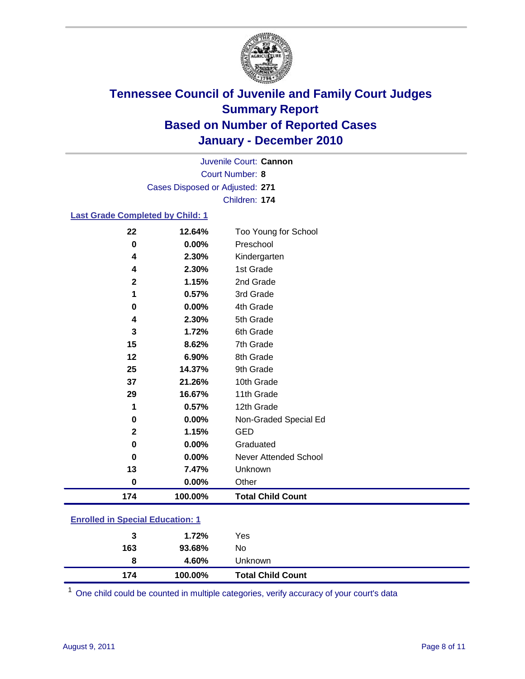

Court Number: **8** Juvenile Court: **Cannon** Cases Disposed or Adjusted: **271** Children: **174**

### **Last Grade Completed by Child: 1**

| 22                                      | 12.64%  | Too Young for School         |  |
|-----------------------------------------|---------|------------------------------|--|
| $\bf{0}$                                | 0.00%   | Preschool                    |  |
| 4                                       | 2.30%   | Kindergarten                 |  |
| 4                                       | 2.30%   | 1st Grade                    |  |
| $\mathbf{2}$                            | 1.15%   | 2nd Grade                    |  |
| 1                                       | 0.57%   | 3rd Grade                    |  |
| $\bf{0}$                                | 0.00%   | 4th Grade                    |  |
| 4                                       | 2.30%   | 5th Grade                    |  |
| 3                                       | 1.72%   | 6th Grade                    |  |
| 15                                      | 8.62%   | 7th Grade                    |  |
| 12                                      | 6.90%   | 8th Grade                    |  |
| 25                                      | 14.37%  | 9th Grade                    |  |
| 37                                      | 21.26%  | 10th Grade                   |  |
| 29                                      | 16.67%  | 11th Grade                   |  |
| 1                                       | 0.57%   | 12th Grade                   |  |
| 0                                       | 0.00%   | Non-Graded Special Ed        |  |
| $\mathbf{2}$                            | 1.15%   | <b>GED</b>                   |  |
| 0                                       | 0.00%   | Graduated                    |  |
| $\bf{0}$                                | 0.00%   | <b>Never Attended School</b> |  |
| 13                                      | 7.47%   | Unknown                      |  |
| $\bf{0}$                                | 0.00%   | Other                        |  |
| 174                                     | 100.00% | <b>Total Child Count</b>     |  |
| <b>Enrolled in Special Education: 1</b> |         |                              |  |

| 174                                      | 100.00% | <b>Total Child Count</b> |  |  |
|------------------------------------------|---------|--------------------------|--|--|
| 8                                        | 4.60%   | Unknown                  |  |  |
| 163                                      | 93.68%  | No                       |  |  |
| 3                                        | 1.72%   | Yes                      |  |  |
| <u>Einvilled in Opecial Education. T</u> |         |                          |  |  |

One child could be counted in multiple categories, verify accuracy of your court's data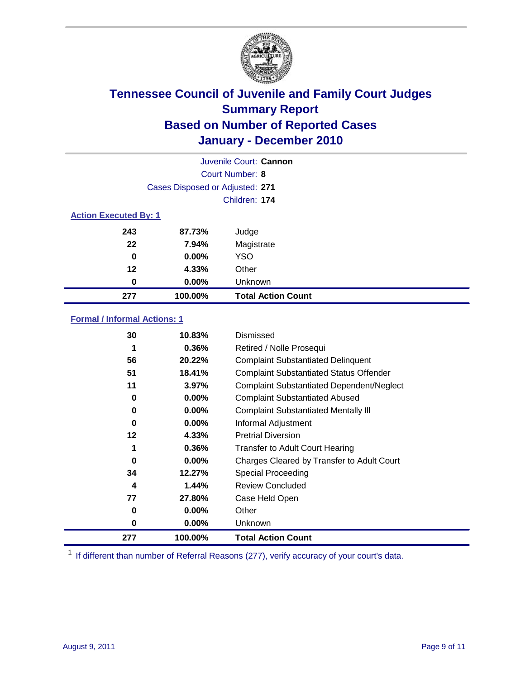

| Juvenile Court: Cannon       |                                 |                           |  |  |  |
|------------------------------|---------------------------------|---------------------------|--|--|--|
|                              | Court Number: 8                 |                           |  |  |  |
|                              | Cases Disposed or Adjusted: 271 |                           |  |  |  |
|                              | Children: 174                   |                           |  |  |  |
| <b>Action Executed By: 1</b> |                                 |                           |  |  |  |
| 243                          | 87.73%                          | Judge                     |  |  |  |
| 22                           | 7.94%                           | Magistrate                |  |  |  |
| 0                            | $0.00\%$                        | <b>YSO</b>                |  |  |  |
| 12                           | 4.33%                           | Other                     |  |  |  |
| 0                            | $0.00\%$                        | Unknown                   |  |  |  |
| 277                          | 100.00%                         | <b>Total Action Count</b> |  |  |  |

### **Formal / Informal Actions: 1**

| 30  | 10.83%   | Dismissed                                        |
|-----|----------|--------------------------------------------------|
| 1   | $0.36\%$ | Retired / Nolle Prosequi                         |
| 56  | 20.22%   | <b>Complaint Substantiated Delinquent</b>        |
| 51  | 18.41%   | <b>Complaint Substantiated Status Offender</b>   |
| 11  | 3.97%    | <b>Complaint Substantiated Dependent/Neglect</b> |
| 0   | $0.00\%$ | <b>Complaint Substantiated Abused</b>            |
| 0   | $0.00\%$ | <b>Complaint Substantiated Mentally III</b>      |
| 0   | $0.00\%$ | Informal Adjustment                              |
| 12  | 4.33%    | <b>Pretrial Diversion</b>                        |
| 1   | 0.36%    | <b>Transfer to Adult Court Hearing</b>           |
| 0   | $0.00\%$ | Charges Cleared by Transfer to Adult Court       |
| 34  | 12.27%   | Special Proceeding                               |
| 4   | 1.44%    | <b>Review Concluded</b>                          |
| 77  | 27.80%   | Case Held Open                                   |
| 0   | $0.00\%$ | Other                                            |
| 0   | $0.00\%$ | Unknown                                          |
| 277 | 100.00%  | <b>Total Action Count</b>                        |

<sup>1</sup> If different than number of Referral Reasons (277), verify accuracy of your court's data.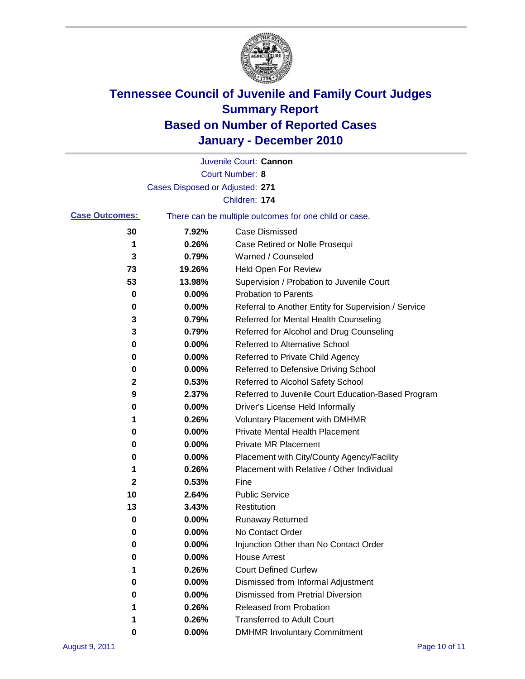

|                       |                                 | Juvenile Court: Cannon                                |
|-----------------------|---------------------------------|-------------------------------------------------------|
|                       |                                 | Court Number: 8                                       |
|                       | Cases Disposed or Adjusted: 271 |                                                       |
|                       |                                 | Children: 174                                         |
| <b>Case Outcomes:</b> |                                 | There can be multiple outcomes for one child or case. |
| 30                    | 7.92%                           | <b>Case Dismissed</b>                                 |
| 1                     | 0.26%                           | Case Retired or Nolle Prosequi                        |
| 3                     | 0.79%                           | Warned / Counseled                                    |
| 73                    | 19.26%                          | Held Open For Review                                  |
| 53                    | 13.98%                          | Supervision / Probation to Juvenile Court             |
| 0                     | 0.00%                           | <b>Probation to Parents</b>                           |
| 0                     | 0.00%                           | Referral to Another Entity for Supervision / Service  |
| 3                     | 0.79%                           | Referred for Mental Health Counseling                 |
| 3                     | 0.79%                           | Referred for Alcohol and Drug Counseling              |
| 0                     | 0.00%                           | Referred to Alternative School                        |
| 0                     | 0.00%                           | Referred to Private Child Agency                      |
| 0                     | 0.00%                           | Referred to Defensive Driving School                  |
| $\mathbf 2$           | 0.53%                           | Referred to Alcohol Safety School                     |
| 9                     | 2.37%                           | Referred to Juvenile Court Education-Based Program    |
| 0                     | 0.00%                           | Driver's License Held Informally                      |
| 1                     | 0.26%                           | <b>Voluntary Placement with DMHMR</b>                 |
| 0                     | 0.00%                           | <b>Private Mental Health Placement</b>                |
| 0                     | 0.00%                           | <b>Private MR Placement</b>                           |
| 0                     | 0.00%                           | Placement with City/County Agency/Facility            |
| 1                     | 0.26%                           | Placement with Relative / Other Individual            |
| 2                     | 0.53%                           | Fine                                                  |
| 10                    | 2.64%                           | <b>Public Service</b>                                 |
| 13                    | 3.43%                           | Restitution                                           |
| 0                     | 0.00%                           | <b>Runaway Returned</b>                               |
| 0                     | 0.00%                           | No Contact Order                                      |
| 0                     | 0.00%                           | Injunction Other than No Contact Order                |
| 0                     | 0.00%                           | <b>House Arrest</b>                                   |
| 1                     | 0.26%                           | <b>Court Defined Curfew</b>                           |
| 0                     | 0.00%                           | Dismissed from Informal Adjustment                    |
| 0                     | 0.00%                           | <b>Dismissed from Pretrial Diversion</b>              |
| 1                     | 0.26%                           | <b>Released from Probation</b>                        |
|                       | 0.26%                           | <b>Transferred to Adult Court</b>                     |
| 0                     | $0.00\%$                        | <b>DMHMR Involuntary Commitment</b>                   |